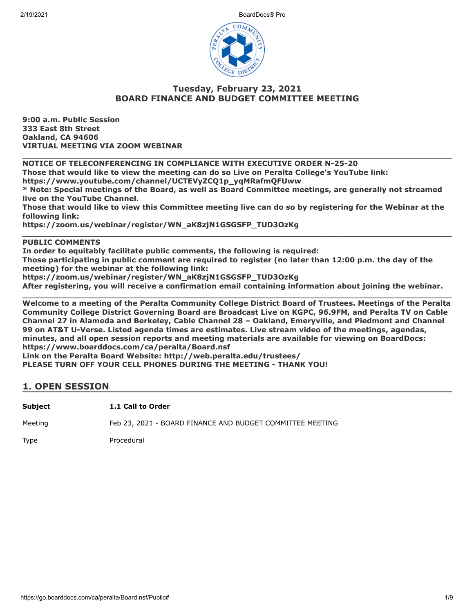2/19/2021 BoardDocs® Pro



### **Tuesday, February 23, 2021 BOARD FINANCE AND BUDGET COMMITTEE MEETING**

**9:00 a.m. Public Session 333 East 8th Street Oakland, CA 94606 VIRTUAL MEETING VIA ZOOM WEBINAR**

**\_\_\_\_\_\_\_\_\_\_\_\_\_\_\_\_\_\_\_\_\_\_\_\_\_\_\_\_\_\_\_\_\_\_\_\_\_\_\_\_\_\_\_\_\_\_\_\_\_\_\_\_\_\_\_\_\_\_\_\_\_\_\_\_\_\_\_\_\_\_\_\_\_\_\_\_\_\_\_\_\_\_\_\_\_ NOTICE OF TELECONFERENCING IN COMPLIANCE WITH EXECUTIVE ORDER N-25-20**

**Those that would like to view the meeting can do so Live on Peralta College's YouTube link:**

**https://www.youtube.com/channel/UCTEVyZCQ1p\_yqMRafmQFUww**

**\* Note: Special meetings of the Board, as well as Board Committee meetings, are generally not streamed live on the YouTube Channel.**

**Those that would like to view this Committee meeting live can do so by registering for the Webinar at the following link:**

**\_\_\_\_\_\_\_\_\_\_\_\_\_\_\_\_\_\_\_\_\_\_\_\_\_\_\_\_\_\_\_\_\_\_\_\_\_\_\_\_\_\_\_\_\_\_\_\_\_\_\_\_\_\_\_\_\_\_\_\_\_\_\_\_\_\_\_\_\_\_\_\_\_\_\_\_\_\_\_\_\_\_\_\_\_**

**https://zoom.us/webinar/register/WN\_aK8zjN1GSGSFP\_TUD3OzKg**

### **PUBLIC COMMENTS**

**In order to equitably facilitate public comments, the following is required:**

**Those participating in public comment are required to register (no later than 12:00 p.m. the day of the meeting) for the webinar at the following link:**

**https://zoom.us/webinar/register/WN\_aK8zjN1GSGSFP\_TUD3OzKg**

**After registering, you will receive a confirmation email containing information about joining the webinar.**

**\_\_\_\_\_\_\_\_\_\_\_\_\_\_\_\_\_\_\_\_\_\_\_\_\_\_\_\_\_\_\_\_\_\_\_\_\_\_\_\_\_\_\_\_\_\_\_\_\_\_\_\_\_\_\_\_\_\_\_\_\_\_\_\_\_\_\_\_\_\_\_\_\_\_\_\_\_\_\_\_\_\_\_\_\_ Welcome to a meeting of the Peralta Community College District Board of Trustees. Meetings of the Peralta Community College District Governing Board are Broadcast Live on KGPC, 96.9FM, and Peralta TV on Cable Channel 27 in Alameda and Berkeley, Cable Channel 28 – Oakland, Emeryville, and Piedmont and Channel 99 on AT&T U-Verse. Listed agenda times are estimates. Live stream video of the meetings, agendas, minutes, and all open session reports and meeting materials are available for viewing on BoardDocs: https://www.boarddocs.com/ca/peralta/Board.nsf**

**Link on the Peralta Board Website: http://web.peralta.edu/trustees/**

**PLEASE TURN OFF YOUR CELL PHONES DURING THE MEETING - THANK YOU!**

### **1. OPEN SESSION**

**Subject 1.1 Call to Order**

Meeting Feb 23, 2021 - BOARD FINANCE AND BUDGET COMMITTEE MEETING

Type Procedural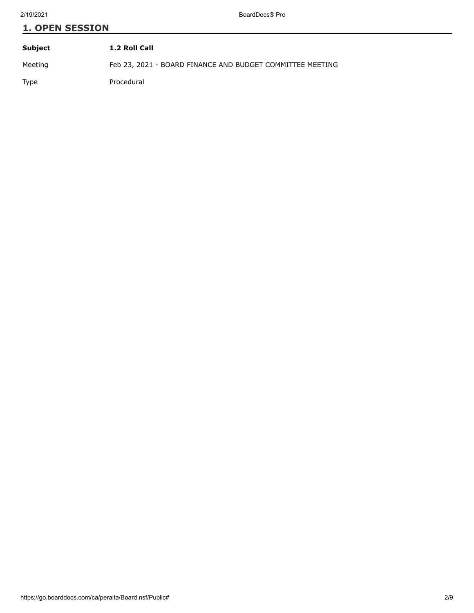### **1. OPEN SESSION**

| Subject     | 1.2 Roll Call                                             |
|-------------|-----------------------------------------------------------|
| Meeting     | Feb 23, 2021 - BOARD FINANCE AND BUDGET COMMITTEE MEETING |
| <b>Type</b> | Procedural                                                |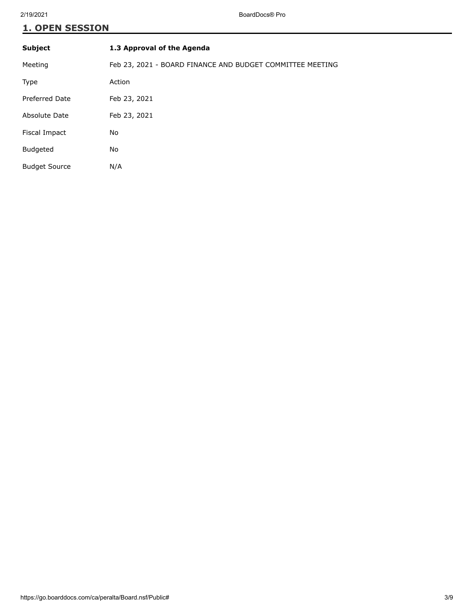# **1. OPEN SESSION**

| <b>Subject</b>       | 1.3 Approval of the Agenda                                |
|----------------------|-----------------------------------------------------------|
| Meeting              | Feb 23, 2021 - BOARD FINANCE AND BUDGET COMMITTEE MEETING |
| Type                 | Action                                                    |
| Preferred Date       | Feb 23, 2021                                              |
| Absolute Date        | Feb 23, 2021                                              |
| Fiscal Impact        | No                                                        |
| <b>Budgeted</b>      | No                                                        |
| <b>Budget Source</b> | N/A                                                       |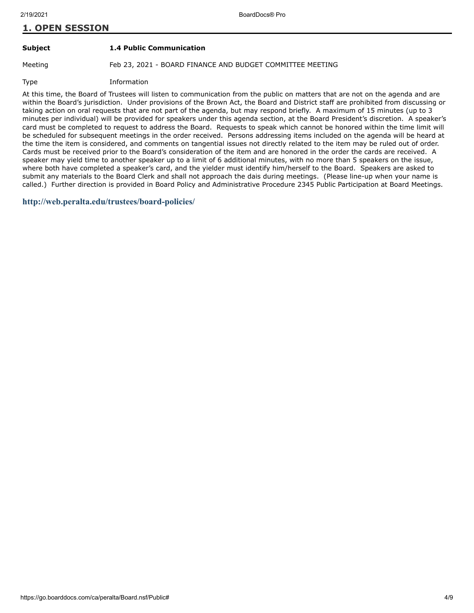### **1. OPEN SESSION**

#### **Subject 1.4 Public Communication**

Meeting Feb 23, 2021 - BOARD FINANCE AND BUDGET COMMITTEE MEETING

Type Information

At this time, the Board of Trustees will listen to communication from the public on matters that are not on the agenda and are within the Board's jurisdiction. Under provisions of the Brown Act, the Board and District staff are prohibited from discussing or taking action on oral requests that are not part of the agenda, but may respond briefly. A maximum of 15 minutes (up to 3 minutes per individual) will be provided for speakers under this agenda section, at the Board President's discretion. A speaker's card must be completed to request to address the Board. Requests to speak which cannot be honored within the time limit will be scheduled for subsequent meetings in the order received. Persons addressing items included on the agenda will be heard at the time the item is considered, and comments on tangential issues not directly related to the item may be ruled out of order. Cards must be received prior to the Board's consideration of the item and are honored in the order the cards are received. A speaker may yield time to another speaker up to a limit of 6 additional minutes, with no more than 5 speakers on the issue, where both have completed a speaker's card, and the yielder must identify him/herself to the Board. Speakers are asked to submit any materials to the Board Clerk and shall not approach the dais during meetings. (Please line-up when your name is called.) Further direction is provided in Board Policy and Administrative Procedure 2345 Public Participation at Board Meetings.

**<http://web.peralta.edu/trustees/board-policies/>**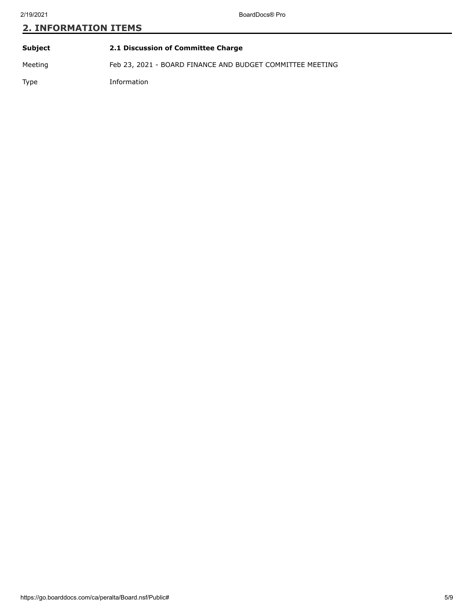| Subject | 2.1 Discussion of Committee Charge                        |
|---------|-----------------------------------------------------------|
| Meeting | Feb 23, 2021 - BOARD FINANCE AND BUDGET COMMITTEE MEETING |
| Type    | Information                                               |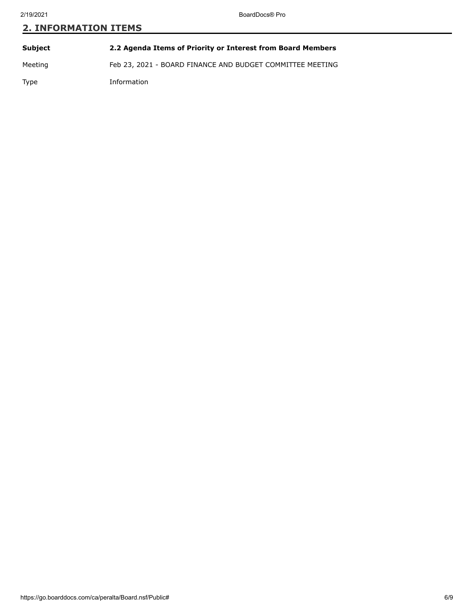| Subject | 2.2 Agenda Items of Priority or Interest from Board Members |
|---------|-------------------------------------------------------------|
| Meeting | Feb 23, 2021 - BOARD FINANCE AND BUDGET COMMITTEE MEETING   |
| Type    | Information                                                 |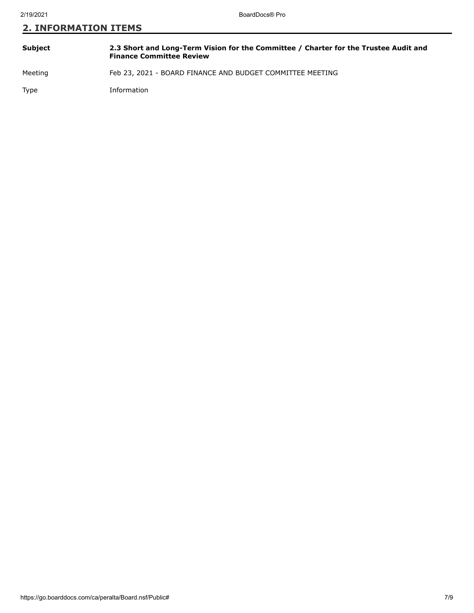| Subject | 2.3 Short and Long-Term Vision for the Committee / Charter for the Trustee Audit and<br><b>Finance Committee Review</b> |
|---------|-------------------------------------------------------------------------------------------------------------------------|
| Meeting | Feb 23, 2021 - BOARD FINANCE AND BUDGET COMMITTEE MEETING                                                               |
| Type    | Information                                                                                                             |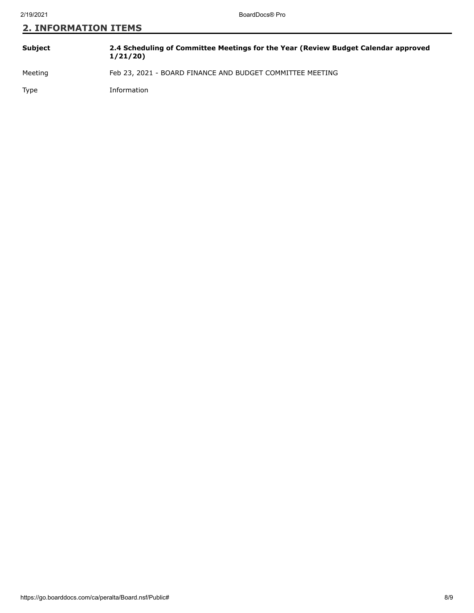| Subject | 2.4 Scheduling of Committee Meetings for the Year (Review Budget Calendar approved<br>1/21/20 |
|---------|-----------------------------------------------------------------------------------------------|
| Meeting | Feb 23, 2021 - BOARD FINANCE AND BUDGET COMMITTEE MEETING                                     |
| Type    | Information                                                                                   |